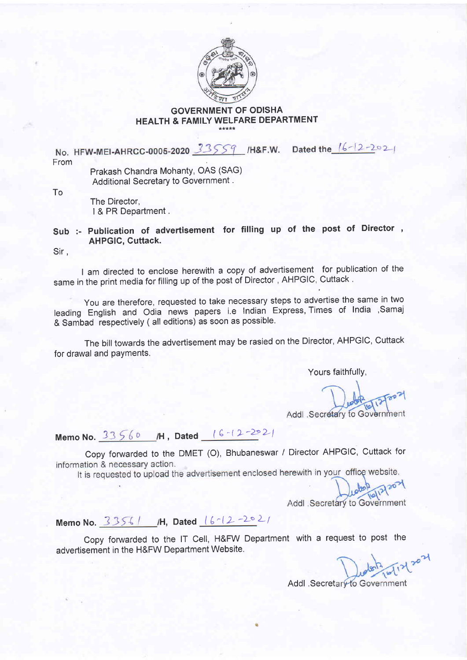

## GOVERNMENT OF ODISHA HEALTH & FAMILY WELFARE DEPARTMENT

No. HFW-MEI-AHRCC-0005-2020 33559 /H&F.W. Dated the 16-12-2021 From

Prakash Chandra Mohanty, OAS (SAG) Additional Secretary to Government .

To

The Director, | & PR Department.

## Sub :- Publication of advertisement for filling up of the post of Director, AHPGIC, Cuttack.

Sir ,

I am directed to enclose herewith a copy of advertisement for publication of the same in the print media for filling up of the post of Director, AHPGIC, Cuttack.

you are therefore, requested to take necessary steps to advertise the same in two leading English and Odia news papers i.e Indian Express, Times of India ,Samaj & Sambad respectively ( all editions) as soon as possible.

The bill towards the advertisement may be rasied on the Director, AHPGIC, Cuttack for drawal and payments.

Yours faithfullY,

Addl .Secretary to Government

Memo No.  $33560$  /H, Dated  $(6 - (2 - 22)2)$ 

Copy forwarded to the DMET (O), Bhubaneswar / Director AHPGIC, Cuttack for information & necessary action.

It is requested to upload the advertisement enclosed herewith in your office website.

Addl Secretary to Government

Memo No.  $33561$  /H, Dated  $(612 - 202)$ 

Copy foruvarded to the lT Cell, H&FW Department with a request to post the advertisement in the H&FW Department Website.

Addl .Secretary to Government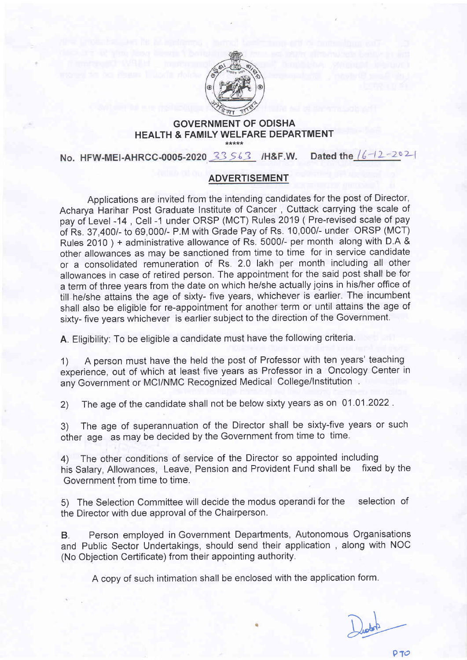

## GOVERNMENT OF ODISHA HEALTH & FAMILY WELFARE DEPARTMENT

No. HFW-MEI-AHRCC-0005-2020 33 563 /H&F.W. Dated the  $/6 - 12 - 202$ 

## ADVERTISEMENT

Applications are invited from the intending candidates for the post of Director, Acharya Harihar Post Graduate Institute of Cancer , Cuttack carrying the scale of pay of Level -14, Cell -1 under ORSP (MCT) Rules 2019 (Pre-revised scale of pay of Rs. 37,400/- to 69,000/- P.M with Grade Pay of Rs. 10,000/- under ORSP (MCT) Rules 2O1O ) + administrative allowance of Rs. 5000/- per month along with D,A & other allowances as may be sanctioned from time to time for in service candidate or a consolidated remuneration of Rs. 2.0 lakh per month including all other allowances in case of retired person. The appointment for the said post shall be for a term of three years from the date on which he/she actually joins in his/her office of till he/she attains the age of sixty- five years, whichever is earlier. The incumbent shall also be eligible for re-appointment for another term or until attains the age of sixty- five years whichever is earlier subject to the direction of the Government.

A. Eligibility: To be eligible a candidate must have the following criteria.

1) A person must have the held the post of Professor with ten years' teaching experience, out of which at least five years as Professor in a Oncology Center in any Government or MCI/NMC Recognized Medical College/Institution.

2) The age of the candidate shall not be below sixty years as on 01.01 .2022 .

3) The age of superannuation of the Director shall be sixty-five years or such other age as may be decided by the Government from time to time.

4) The other conditions of service of the Director so appointed including<br>his Salary, Allowances, Leave, Pension and Provident Fund shall be fixed by the his Salary, Allowances, Leave, Pension and Provident Fund shall be Government from time to time.

5) The Selection Committee will decide the modus operandi for the selection of the Director with due approval of the Chairperson.

B. Person employed in Government Departments, Autonomous Organisations and Public Sector Undertakings, should send their application , along with NOC (No Objection Certificate) from their appointing authority.

A copy of such intimation shall be enclosed with the application form.

 $D_{\text{other}}$